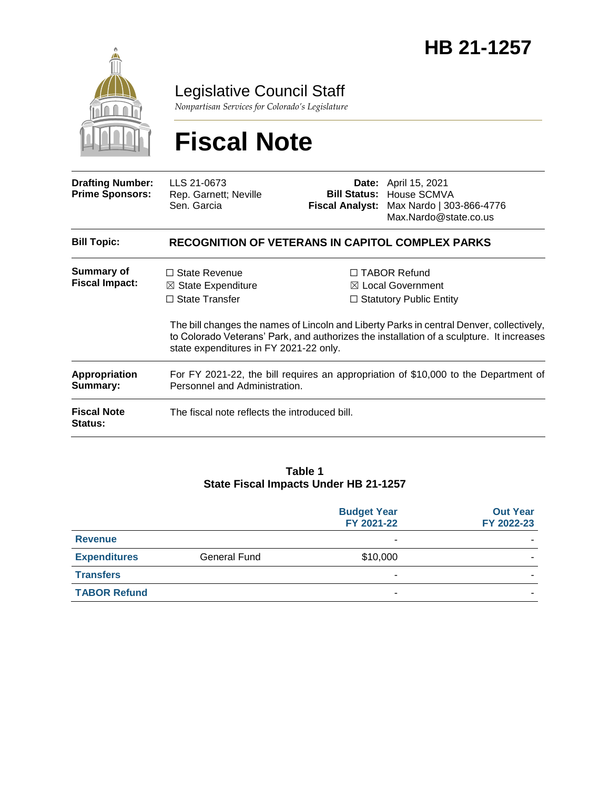

Legislative Council Staff

*Nonpartisan Services for Colorado's Legislature*

# **Fiscal Note**

| <b>Drafting Number:</b><br><b>Prime Sponsors:</b> | LLS 21-0673<br>Rep. Garnett; Neville<br>Sen. Garcia                                                                      |  | <b>Date:</b> April 15, 2021<br><b>Bill Status: House SCMVA</b><br>Fiscal Analyst: Max Nardo   303-866-4776<br>Max.Nardo@state.co.us                                                                                                                                           |  |
|---------------------------------------------------|--------------------------------------------------------------------------------------------------------------------------|--|-------------------------------------------------------------------------------------------------------------------------------------------------------------------------------------------------------------------------------------------------------------------------------|--|
| <b>Bill Topic:</b>                                | <b>RECOGNITION OF VETERANS IN CAPITOL COMPLEX PARKS</b>                                                                  |  |                                                                                                                                                                                                                                                                               |  |
| Summary of<br><b>Fiscal Impact:</b>               | $\Box$ State Revenue<br>$\boxtimes$ State Expenditure<br>$\Box$ State Transfer<br>state expenditures in FY 2021-22 only. |  | $\Box$ TABOR Refund<br>$\boxtimes$ Local Government<br>$\Box$ Statutory Public Entity<br>The bill changes the names of Lincoln and Liberty Parks in central Denver, collectively,<br>to Colorado Veterans' Park, and authorizes the installation of a sculpture. It increases |  |
| <b>Appropriation</b><br>Summary:                  | For FY 2021-22, the bill requires an appropriation of \$10,000 to the Department of<br>Personnel and Administration.     |  |                                                                                                                                                                                                                                                                               |  |
| <b>Fiscal Note</b><br><b>Status:</b>              | The fiscal note reflects the introduced bill.                                                                            |  |                                                                                                                                                                                                                                                                               |  |

#### **Table 1 State Fiscal Impacts Under HB 21-1257**

|                     |              | <b>Budget Year</b><br>FY 2021-22 | <b>Out Year</b><br>FY 2022-23 |
|---------------------|--------------|----------------------------------|-------------------------------|
| <b>Revenue</b>      |              | -                                |                               |
| <b>Expenditures</b> | General Fund | \$10,000                         |                               |
| <b>Transfers</b>    |              | ۰                                |                               |
| <b>TABOR Refund</b> |              |                                  |                               |